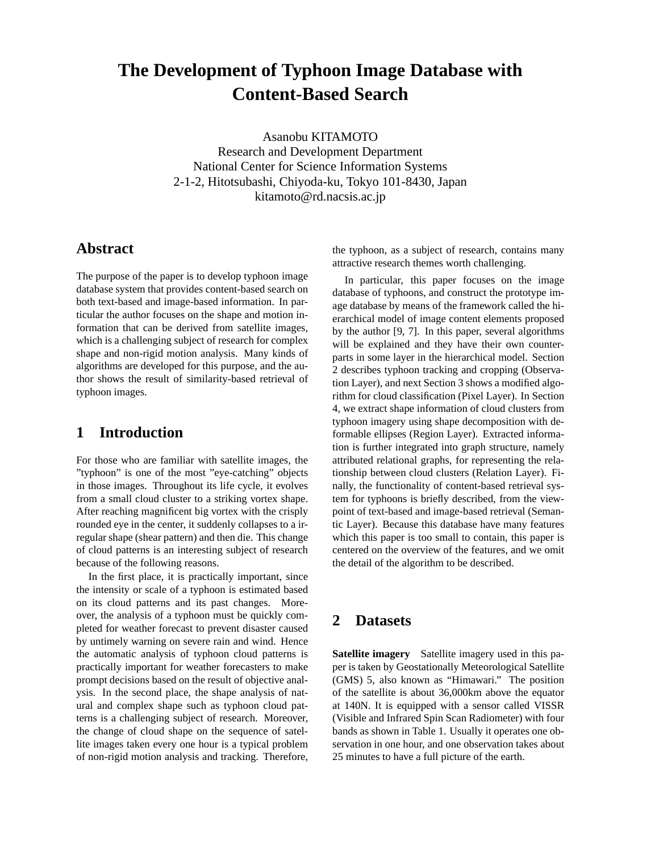# **The Development of Typhoon Image Database with Content-Based Search**

Asanobu KITAMOTO Research and Development Department National Center for Science Information Systems 2-1-2, Hitotsubashi, Chiyoda-ku, Tokyo 101-8430, Japan kitamoto@rd.nacsis.ac.jp

# **Abstract**

The purpose of the paper is to develop typhoon image database system that provides content-based search on both text-based and image-based information. In particular the author focuses on the shape and motion information that can be derived from satellite images, which is a challenging subject of research for complex shape and non-rigid motion analysis. Many kinds of algorithms are developed for this purpose, and the author shows the result of similarity-based retrieval of typhoon images.

# **1 Introduction**

For those who are familiar with satellite images, the "typhoon" is one of the most "eye-catching" objects in those images. Throughout its life cycle, it evolves from a small cloud cluster to a striking vortex shape. After reaching magnificent big vortex with the crisply rounded eye in the center, it suddenly collapses to a irregular shape (shear pattern) and then die. This change of cloud patterns is an interesting subject of research because of the following reasons.

In the first place, it is practically important, since the intensity or scale of a typhoon is estimated based on its cloud patterns and its past changes. Moreover, the analysis of a typhoon must be quickly completed for weather forecast to prevent disaster caused by untimely warning on severe rain and wind. Hence the automatic analysis of typhoon cloud patterns is practically important for weather forecasters to make prompt decisions based on the result of objective analysis. In the second place, the shape analysis of natural and complex shape such as typhoon cloud patterns is a challenging subject of research. Moreover, the change of cloud shape on the sequence of satellite images taken every one hour is a typical problem of non-rigid motion analysis and tracking. Therefore, the typhoon, as a subject of research, contains many attractive research themes worth challenging.

In particular, this paper focuses on the image database of typhoons, and construct the prototype image database by means of the framework called the hierarchical model of image content elements proposed by the author [9, 7]. In this paper, several algorithms will be explained and they have their own counterparts in some layer in the hierarchical model. Section 2 describes typhoon tracking and cropping (Observation Layer), and next Section 3 shows a modified algorithm for cloud classification (Pixel Layer). In Section 4, we extract shape information of cloud clusters from typhoon imagery using shape decomposition with deformable ellipses (Region Layer). Extracted information is further integrated into graph structure, namely attributed relational graphs, for representing the relationship between cloud clusters (Relation Layer). Finally, the functionality of content-based retrieval system for typhoons is briefly described, from the viewpoint of text-based and image-based retrieval (Semantic Layer). Because this database have many features which this paper is too small to contain, this paper is centered on the overview of the features, and we omit the detail of the algorithm to be described.

# **2 Datasets**

**Satellite imagery** Satellite imagery used in this paper is taken by Geostationally Meteorological Satellite (GMS) 5, also known as "Himawari." The position of the satellite is about 36,000km above the equator at 140N. It is equipped with a sensor called VISSR (Visible and Infrared Spin Scan Radiometer) with four bands as shown in Table 1. Usually it operates one observation in one hour, and one observation takes about 25 minutes to have a full picture of the earth.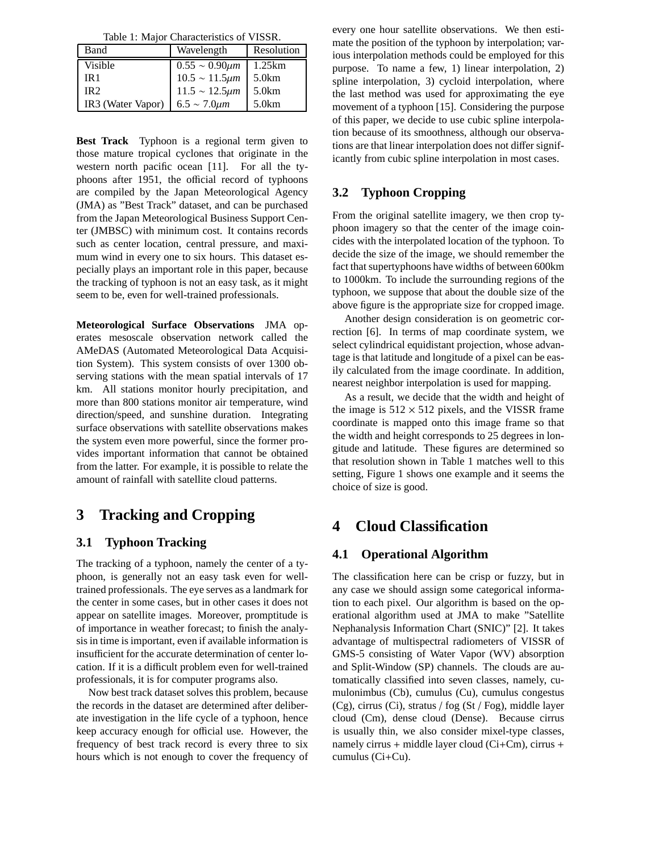Table 1: Major Characteristics of VISSR.

| Band              | Wavelength             | Resolution |
|-------------------|------------------------|------------|
| Visible           | $0.55 \sim 0.90 \mu m$ | 1.25km     |
| IR 1              | $10.5 \sim 11.5 \mu m$ | 5.0km      |
| IR2               | $11.5 \sim 12.5 \mu m$ | 5.0km      |
| IR3 (Water Vapor) | $6.5 \sim 7.0 \mu m$   | 5.0km      |

**Best Track** Typhoon is a regional term given to those mature tropical cyclones that originate in the western north pacific ocean [11]. For all the typhoons after 1951, the official record of typhoons are compiled by the Japan Meteorological Agency (JMA) as "Best Track" dataset, and can be purchased from the Japan Meteorological Business Support Center (JMBSC) with minimum cost. It contains records such as center location, central pressure, and maximum wind in every one to six hours. This dataset especially plays an important role in this paper, because the tracking of typhoon is not an easy task, as it might seem to be, even for well-trained professionals.

**Meteorological Surface Observations** JMA operates mesoscale observation network called the AMeDAS (Automated Meteorological Data Acquisition System). This system consists of over 1300 observing stations with the mean spatial intervals of 17 km. All stations monitor hourly precipitation, and more than 800 stations monitor air temperature, wind direction/speed, and sunshine duration. Integrating surface observations with satellite observations makes the system even more powerful, since the former provides important information that cannot be obtained from the latter. For example, it is possible to relate the amount of rainfall with satellite cloud patterns.

# **3 Tracking and Cropping**

#### **3.1 Typhoon Tracking**

The tracking of a typhoon, namely the center of a typhoon, is generally not an easy task even for welltrained professionals. The eye serves as a landmark for the center in some cases, but in other cases it does not appear on satellite images. Moreover, promptitude is of importance in weather forecast; to finish the analysis in time is important, even if available information is insufficient for the accurate determination of center location. If it is a difficult problem even for well-trained professionals, it is for computer programs also.

Now best track dataset solves this problem, because the records in the dataset are determined after deliberate investigation in the life cycle of a typhoon, hence keep accuracy enough for official use. However, the frequency of best track record is every three to six hours which is not enough to cover the frequency of every one hour satellite observations. We then estimate the position of the typhoon by interpolation; various interpolation methods could be employed for this purpose. To name a few, 1) linear interpolation, 2) spline interpolation, 3) cycloid interpolation, where the last method was used for approximating the eye movement of a typhoon [15]. Considering the purpose of this paper, we decide to use cubic spline interpolation because of its smoothness, although our observations are that linear interpolation does not differ significantly from cubic spline interpolation in most cases.

### **3.2 Typhoon Cropping**

From the original satellite imagery, we then crop typhoon imagery so that the center of the image coincides with the interpolated location of the typhoon. To decide the size of the image, we should remember the fact that supertyphoons have widths of between 600km to 1000km. To include the surrounding regions of the typhoon, we suppose that about the double size of the above figure is the appropriate size for cropped image.

Another design consideration is on geometric correction [6]. In terms of map coordinate system, we select cylindrical equidistant projection, whose advantage is that latitude and longitude of a pixel can be easily calculated from the image coordinate. In addition, nearest neighbor interpolation is used for mapping.

As a result, we decide that the width and height of the image is  $512 \times 512$  pixels, and the VISSR frame coordinate is mapped onto this image frame so that the width and height corresponds to 25 degrees in longitude and latitude. These figures are determined so that resolution shown in Table 1 matches well to this setting, Figure 1 shows one example and it seems the choice of size is good.

# **4 Cloud Classification**

### **4.1 Operational Algorithm**

The classification here can be crisp or fuzzy, but in any case we should assign some categorical information to each pixel. Our algorithm is based on the operational algorithm used at JMA to make "Satellite Nephanalysis Information Chart (SNIC)" [2]. It takes advantage of multispectral radiometers of VISSR of GMS-5 consisting of Water Vapor (WV) absorption and Split-Window (SP) channels. The clouds are automatically classified into seven classes, namely, cumulonimbus (Cb), cumulus (Cu), cumulus congestus (Cg), cirrus (Ci), stratus / fog (St / Fog), middle layer cloud (Cm), dense cloud (Dense). Because cirrus is usually thin, we also consider mixel-type classes, namely cirrus + middle layer cloud (Ci+Cm), cirrus + cumulus (Ci+Cu).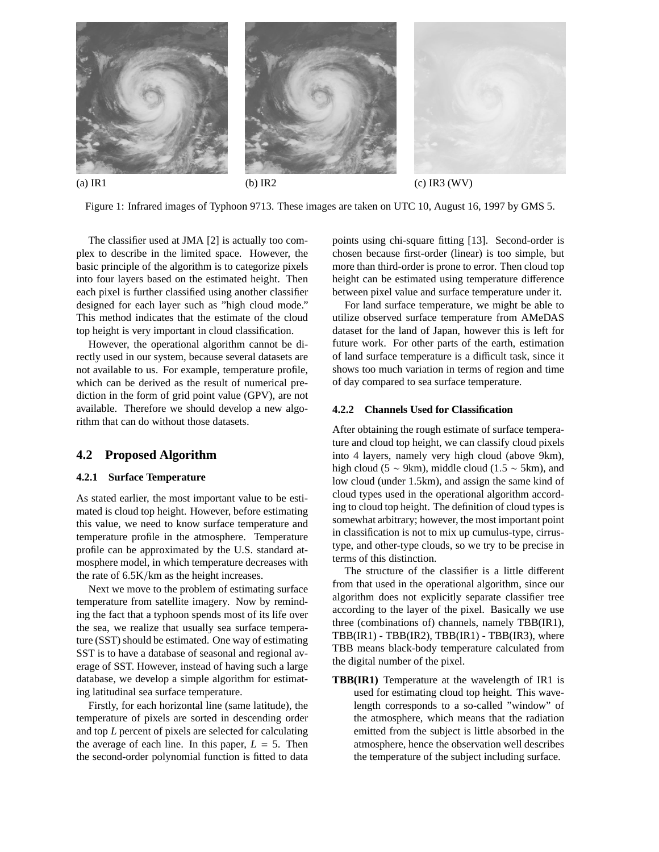

Figure 1: Infrared images of Typhoon 9713. These images are taken on UTC 10, August 16, 1997 by GMS 5.

The classifier used at JMA [2] is actually too complex to describe in the limited space. However, the basic principle of the algorithm is to categorize pixels into four layers based on the estimated height. Then each pixel is further classified using another classifier designed for each layer such as "high cloud mode." This method indicates that the estimate of the cloud top height is very important in cloud classification.

However, the operational algorithm cannot be directly used in our system, because several datasets are not available to us. For example, temperature profile, which can be derived as the result of numerical prediction in the form of grid point value (GPV), are not available. Therefore we should develop a new algorithm that can do without those datasets.

#### **4.2 Proposed Algorithm**

#### **4.2.1 Surface Temperature**

As stated earlier, the most important value to be estimated is cloud top height. However, before estimating this value, we need to know surface temperature and temperature profile in the atmosphere. Temperature profile can be approximated by the U.S. standard atmosphere model, in which temperature decreases with the rate of 6.5K/km as the height increases.

Next we move to the problem of estimating surface temperature from satellite imagery. Now by reminding the fact that a typhoon spends most of its life over the sea, we realize that usually sea surface temperature (SST) should be estimated. One way of estimating SST is to have a database of seasonal and regional average of SST. However, instead of having such a large database, we develop a simple algorithm for estimating latitudinal sea surface temperature.

Firstly, for each horizontal line (same latitude), the temperature of pixels are sorted in descending order and top *L* percent of pixels are selected for calculating the average of each line. In this paper,  $L = 5$ . Then the second-order polynomial function is fitted to data

points using chi-square fitting [13]. Second-order is chosen because first-order (linear) is too simple, but more than third-order is prone to error. Then cloud top height can be estimated using temperature difference between pixel value and surface temperature under it.

For land surface temperature, we might be able to utilize observed surface temperature from AMeDAS dataset for the land of Japan, however this is left for future work. For other parts of the earth, estimation of land surface temperature is a difficult task, since it shows too much variation in terms of region and time of day compared to sea surface temperature.

#### **4.2.2 Channels Used for Classification**

After obtaining the rough estimate of surface temperature and cloud top height, we can classify cloud pixels into 4 layers, namely very high cloud (above 9km), high cloud (5  $\sim$  9km), middle cloud (1.5  $\sim$  5km), and low cloud (under 1.5km), and assign the same kind of cloud types used in the operational algorithm according to cloud top height. The definition of cloud types is somewhat arbitrary; however, the most important point in classification is not to mix up cumulus-type, cirrustype, and other-type clouds, so we try to be precise in terms of this distinction.

The structure of the classifier is a little different from that used in the operational algorithm, since our algorithm does not explicitly separate classifier tree according to the layer of the pixel. Basically we use three (combinations of) channels, namely TBB(IR1),  $TBB(IR1) - TBB(IR2)$ ,  $TBB(IR1) - TBB(IR3)$ , where TBB means black-body temperature calculated from the digital number of the pixel.

**TBB(IR1)** Temperature at the wavelength of IR1 is used for estimating cloud top height. This wavelength corresponds to a so-called "window" of the atmosphere, which means that the radiation emitted from the subject is little absorbed in the atmosphere, hence the observation well describes the temperature of the subject including surface.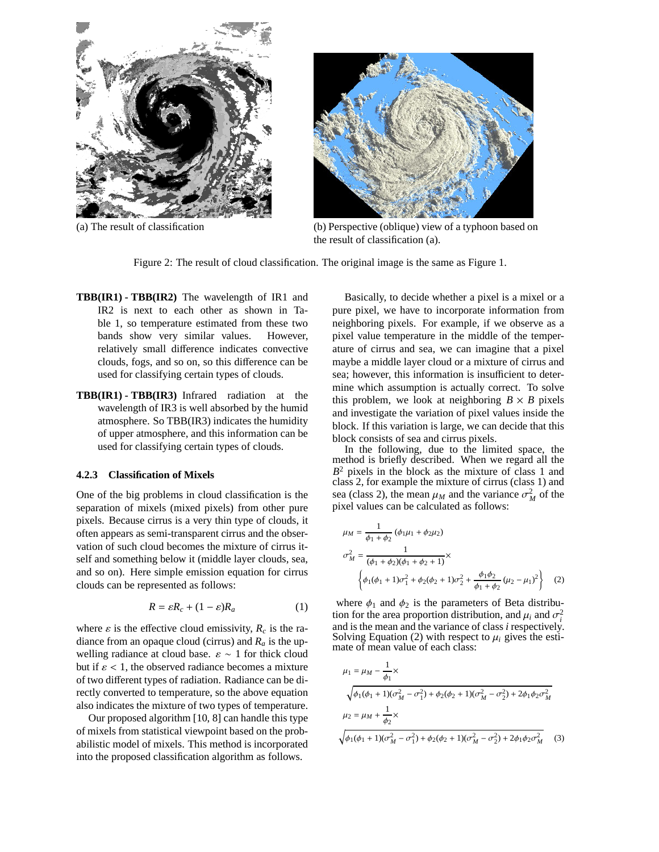



(a) The result of classification (b) Perspective (oblique) view of a typhoon based on the result of classification (a).

Figure 2: The result of cloud classification. The original image is the same as Figure 1.

- **TBB(IR1) TBB(IR2)** The wavelength of IR1 and IR2 is next to each other as shown in Table 1, so temperature estimated from these two bands show very similar values. However, relatively small difference indicates convective clouds, fogs, and so on, so this difference can be used for classifying certain types of clouds.
- **TBB(IR1) TBB(IR3)** Infrared radiation at the wavelength of IR3 is well absorbed by the humid atmosphere. So TBB(IR3) indicates the humidity of upper atmosphere, and this information can be used for classifying certain types of clouds.

#### **4.2.3 Classification of Mixels**

One of the big problems in cloud classification is the separation of mixels (mixed pixels) from other pure pixels. Because cirrus is a very thin type of clouds, it often appears as semi-transparent cirrus and the observation of such cloud becomes the mixture of cirrus itself and something below it (middle layer clouds, sea, and so on). Here simple emission equation for cirrus clouds can be represented as follows:

$$
R = \varepsilon R_c + (1 - \varepsilon)R_a \tag{1}
$$

where  $\varepsilon$  is the effective cloud emissivity,  $R_c$  is the radiance from an opaque cloud (cirrus) and  $R_a$  is the upwelling radiance at cloud base.  $\varepsilon \sim 1$  for thick cloud but if  $\varepsilon$  < 1, the observed radiance becomes a mixture of two different types of radiation. Radiance can be directly converted to temperature, so the above equation also indicates the mixture of two types of temperature.

Our proposed algorithm [10, 8] can handle this type of mixels from statistical viewpoint based on the probabilistic model of mixels. This method is incorporated into the proposed classification algorithm as follows.

Basically, to decide whether a pixel is a mixel or a pure pixel, we have to incorporate information from neighboring pixels. For example, if we observe as a pixel value temperature in the middle of the temperature of cirrus and sea, we can imagine that a pixel maybe a middle layer cloud or a mixture of cirrus and sea; however, this information is insufficient to determine which assumption is actually correct. To solve this problem, we look at neighboring  $B \times B$  pixels and investigate the variation of pixel values inside the block. If this variation is large, we can decide that this block consists of sea and cirrus pixels.

In the following, due to the limited space, the method is briefly described. When we regard all the *B*<sup>2</sup> pixels in the block as the mixture of class 1 and class 2, for example the mixture of cirrus (class 1) and sea (class 2), the mean  $\mu_M$  and the variance  $\sigma_M^2$  of the pixel values can be calculated as follows:

$$
\mu_M = \frac{1}{\phi_1 + \phi_2} (\phi_1 \mu_1 + \phi_2 \mu_2)
$$
  
\n
$$
\sigma_M^2 = \frac{1}{(\phi_1 + \phi_2)(\phi_1 + \phi_2 + 1)} \times
$$
  
\n
$$
\left\{ \phi_1(\phi_1 + 1)\sigma_1^2 + \phi_2(\phi_2 + 1)\sigma_2^2 + \frac{\phi_1 \phi_2}{\phi_1 + \phi_2} (\mu_2 - \mu_1)^2 \right\}
$$
 (2)

where  $\phi_1$  and  $\phi_2$  is the parameters of Beta distribution for the area proportion distribution, and  $\mu_i$  and  $\sigma_i^2$ and is the mean and the variance of class *i* respectively. Solving Equation (2) with respect to  $\mu_i$  gives the estimate of mean value of each class:

$$
\mu_1 = \mu_M - \frac{1}{\phi_1} \times
$$
\n
$$
\sqrt{\phi_1(\phi_1 + 1)(\sigma_M^2 - \sigma_1^2) + \phi_2(\phi_2 + 1)(\sigma_M^2 - \sigma_2^2) + 2\phi_1\phi_2\sigma_M^2}
$$
\n
$$
\mu_2 = \mu_M + \frac{1}{\phi_2} \times
$$
\n
$$
\sqrt{\phi_1(\phi_1 + 1)(\sigma_M^2 - \sigma_1^2) + \phi_2(\phi_2 + 1)(\sigma_M^2 - \sigma_2^2) + 2\phi_1\phi_2\sigma_M^2}
$$
\n(3)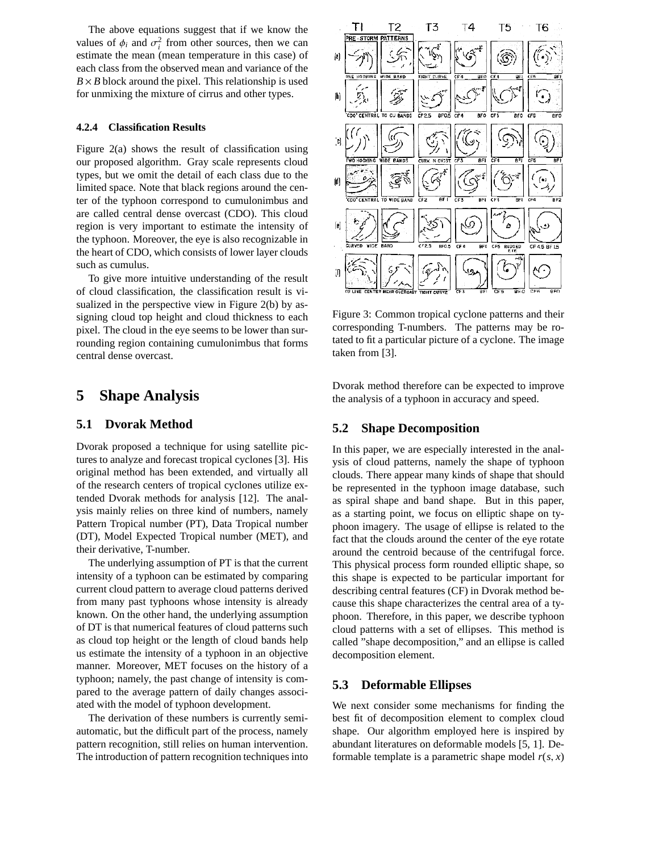The above equations suggest that if we know the values of  $\phi_i$  and  $\sigma_i^2$  from other sources, then we can estimate the mean (mean temperature in this case) of each class from the observed mean and variance of the  $B \times B$  block around the pixel. This relationship is used for unmixing the mixture of cirrus and other types.

#### **4.2.4 Classification Results**

Figure 2(a) shows the result of classification using our proposed algorithm. Gray scale represents cloud types, but we omit the detail of each class due to the limited space. Note that black regions around the center of the typhoon correspond to cumulonimbus and are called central dense overcast (CDO). This cloud region is very important to estimate the intensity of the typhoon. Moreover, the eye is also recognizable in the heart of CDO, which consists of lower layer clouds such as cumulus.

To give more intuitive understanding of the result of cloud classification, the classification result is visualized in the perspective view in Figure 2(b) by assigning cloud top height and cloud thickness to each pixel. The cloud in the eye seems to be lower than surrounding region containing cumulonimbus that forms central dense overcast.

### **5 Shape Analysis**

#### **5.1 Dvorak Method**

Dvorak proposed a technique for using satellite pictures to analyze and forecast tropical cyclones [3]. His original method has been extended, and virtually all of the research centers of tropical cyclones utilize extended Dvorak methods for analysis [12]. The analysis mainly relies on three kind of numbers, namely Pattern Tropical number (PT), Data Tropical number (DT), Model Expected Tropical number (MET), and their derivative, T-number.

The underlying assumption of PT is that the current intensity of a typhoon can be estimated by comparing current cloud pattern to average cloud patterns derived from many past typhoons whose intensity is already known. On the other hand, the underlying assumption of DT is that numerical features of cloud patterns such as cloud top height or the length of cloud bands help us estimate the intensity of a typhoon in an objective manner. Moreover, MET focuses on the history of a typhoon; namely, the past change of intensity is compared to the average pattern of daily changes associated with the model of typhoon development.

The derivation of these numbers is currently semiautomatic, but the difficult part of the process, namely pattern recognition, still relies on human intervention. The introduction of pattern recognition techniques into



Figure 3: Common tropical cyclone patterns and their corresponding T-numbers. The patterns may be rotated to fit a particular picture of a cyclone. The image taken from [3].

Dvorak method therefore can be expected to improve the analysis of a typhoon in accuracy and speed.

#### **5.2 Shape Decomposition**

In this paper, we are especially interested in the analysis of cloud patterns, namely the shape of typhoon clouds. There appear many kinds of shape that should be represented in the typhoon image database, such as spiral shape and band shape. But in this paper, as a starting point, we focus on elliptic shape on typhoon imagery. The usage of ellipse is related to the fact that the clouds around the center of the eye rotate around the centroid because of the centrifugal force. This physical process form rounded elliptic shape, so this shape is expected to be particular important for describing central features (CF) in Dvorak method because this shape characterizes the central area of a typhoon. Therefore, in this paper, we describe typhoon cloud patterns with a set of ellipses. This method is called "shape decomposition," and an ellipse is called decomposition element.

#### **5.3 Deformable Ellipses**

We next consider some mechanisms for finding the best fit of decomposition element to complex cloud shape. Our algorithm employed here is inspired by abundant literatures on deformable models [5, 1]. Deformable template is a parametric shape model  $r(s, x)$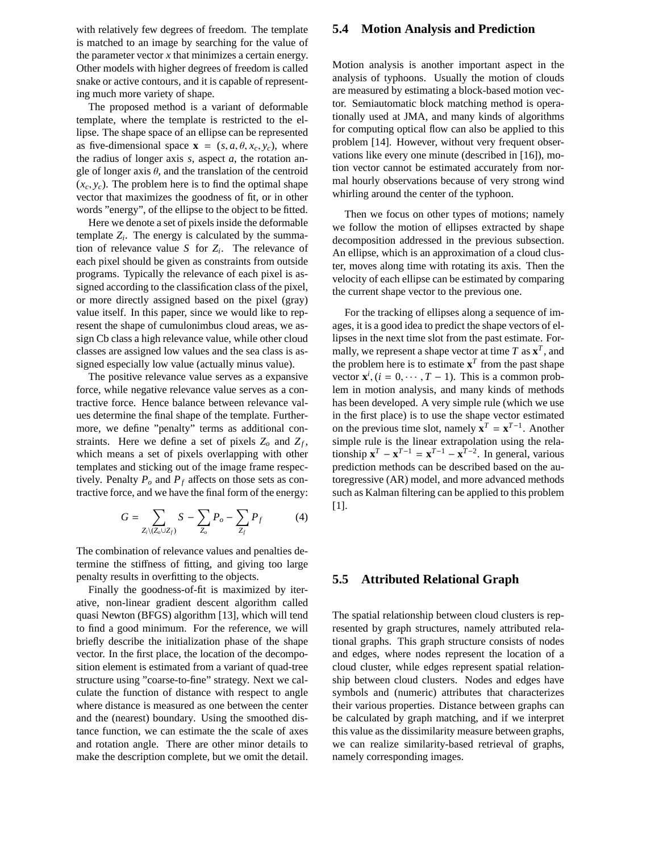with relatively few degrees of freedom. The template is matched to an image by searching for the value of the parameter vector *x* that minimizes a certain energy. Other models with higher degrees of freedom is called snake or active contours, and it is capable of representing much more variety of shape.

The proposed method is a variant of deformable template, where the template is restricted to the ellipse. The shape space of an ellipse can be represented as five-dimensional space  $\mathbf{x} = (s, a, \theta, x_c, y_c)$ , where the radius of longer axis *s*, aspect *a*, the rotation angle of longer axis  $\theta$ , and the translation of the centroid  $(x_c, y_c)$ . The problem here is to find the optimal shape vector that maximizes the goodness of fit, or in other words "energy", of the ellipse to the object to be fitted.

Here we denote a set of pixels inside the deformable template  $Z_i$ . The energy is calculated by the summation of relevance value *S* for *Zi*. The relevance of each pixel should be given as constraints from outside programs. Typically the relevance of each pixel is assigned according to the classification class of the pixel, or more directly assigned based on the pixel (gray) value itself. In this paper, since we would like to represent the shape of cumulonimbus cloud areas, we assign Cb class a high relevance value, while other cloud classes are assigned low values and the sea class is assigned especially low value (actually minus value).

The positive relevance value serves as a expansive force, while negative relevance value serves as a contractive force. Hence balance between relevance values determine the final shape of the template. Furthermore, we define "penalty" terms as additional constraints. Here we define a set of pixels  $Z_0$  and  $Z_f$ , which means a set of pixels overlapping with other templates and sticking out of the image frame respectively. Penalty  $P_o$  and  $P_f$  affects on those sets as contractive force, and we have the final form of the energy:

$$
G = \sum_{Z_i \setminus (Z_o \cup Z_f)} S - \sum_{Z_o} P_o - \sum_{Z_f} P_f \tag{4}
$$

The combination of relevance values and penalties determine the stiffness of fitting, and giving too large penalty results in overfitting to the objects.

Finally the goodness-of-fit is maximized by iterative, non-linear gradient descent algorithm called quasi Newton (BFGS) algorithm [13], which will tend to find a good minimum. For the reference, we will briefly describe the initialization phase of the shape vector. In the first place, the location of the decomposition element is estimated from a variant of quad-tree structure using "coarse-to-fine" strategy. Next we calculate the function of distance with respect to angle where distance is measured as one between the center and the (nearest) boundary. Using the smoothed distance function, we can estimate the the scale of axes and rotation angle. There are other minor details to make the description complete, but we omit the detail.

#### **5.4 Motion Analysis and Prediction**

Motion analysis is another important aspect in the analysis of typhoons. Usually the motion of clouds are measured by estimating a block-based motion vector. Semiautomatic block matching method is operationally used at JMA, and many kinds of algorithms for computing optical flow can also be applied to this problem [14]. However, without very frequent observations like every one minute (described in [16]), motion vector cannot be estimated accurately from normal hourly observations because of very strong wind whirling around the center of the typhoon.

Then we focus on other types of motions; namely we follow the motion of ellipses extracted by shape decomposition addressed in the previous subsection. An ellipse, which is an approximation of a cloud cluster, moves along time with rotating its axis. Then the velocity of each ellipse can be estimated by comparing the current shape vector to the previous one.

For the tracking of ellipses along a sequence of images, it is a good idea to predict the shape vectors of ellipses in the next time slot from the past estimate. Formally, we represent a shape vector at time  $T$  as  $\mathbf{x}^T$ , and the problem here is to estimate  $x^T$  from the past shape vector  $\mathbf{x}^i$ ,  $(i = 0, \dots, T - 1)$ . This is a common problem in motion analysis, and many kinds of methods has been developed. A very simple rule (which we use in the first place) is to use the shape vector estimated on the previous time slot, namely  $\mathbf{x}^T = \mathbf{x}^{T-1}$ . Another simple rule is the linear extrapolation using the relationship  $\mathbf{x}^T - \mathbf{x}^{T-1} = \mathbf{x}^{T-1} - \mathbf{x}^{T-2}$ . In general, various prediction methods can be described based on the autoregressive (AR) model, and more advanced methods such as Kalman filtering can be applied to this problem [1].

#### **5.5 Attributed Relational Graph**

The spatial relationship between cloud clusters is represented by graph structures, namely attributed relational graphs. This graph structure consists of nodes and edges, where nodes represent the location of a cloud cluster, while edges represent spatial relationship between cloud clusters. Nodes and edges have symbols and (numeric) attributes that characterizes their various properties. Distance between graphs can be calculated by graph matching, and if we interpret this value as the dissimilarity measure between graphs, we can realize similarity-based retrieval of graphs, namely corresponding images.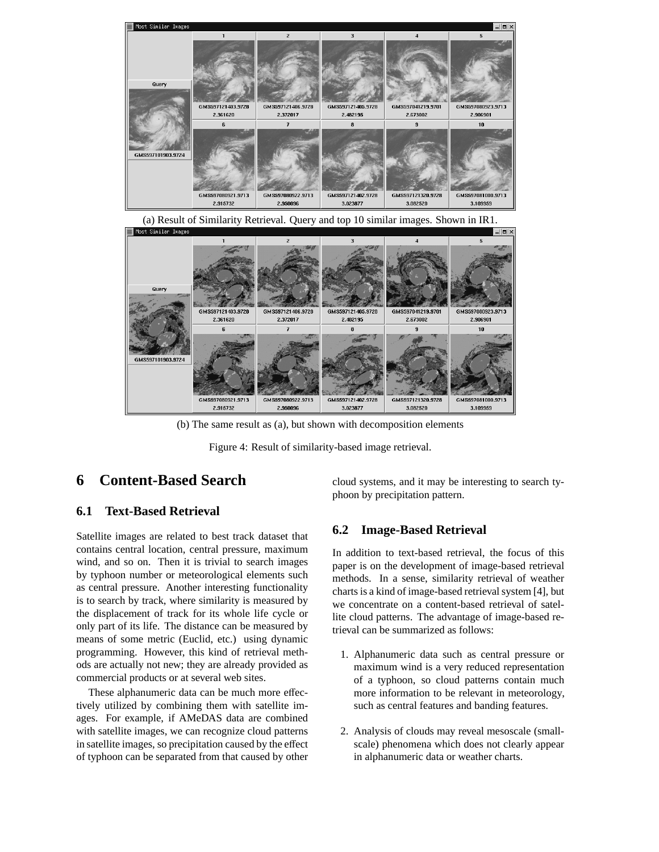

2915732 2.950096 3.023877 3.082520 3109959 (b) The same result as (a), but shown with decomposition elements

GMS597121405.9728

2.482195

GMS597121402.9728

GMS597121406.9728

2.372017

GMS597080922.9713

Figure 4: Result of similarity-based image retrieval.

# **6 Content-Based Search**

GMS597101903 9724

### **6.1 Text-Based Retrieval**

Satellite images are related to best track dataset that contains central location, central pressure, maximum wind, and so on. Then it is trivial to search images by typhoon number or meteorological elements such as central pressure. Another interesting functionality is to search by track, where similarity is measured by the displacement of track for its whole life cycle or only part of its life. The distance can be measured by means of some metric (Euclid, etc.) using dynamic programming. However, this kind of retrieval methods are actually not new; they are already provided as commercial products or at several web sites.

GMS597121403.9728

2.361620

GMS597080921.9713

These alphanumeric data can be much more effectively utilized by combining them with satellite images. For example, if AMeDAS data are combined with satellite images, we can recognize cloud patterns in satellite images, so precipitation caused by the effect of typhoon can be separated from that caused by other

cloud systems, and it may be interesting to search typhoon by precipitation pattern.

### **6.2 Image-Based Retrieval**

GMS597041219.9701

2.673002

GMS597121320.9728

GMS597080923.9713

2.906901

 $10<sup>1</sup>$ 

GMS597081000.9713

In addition to text-based retrieval, the focus of this paper is on the development of image-based retrieval methods. In a sense, similarity retrieval of weather charts is a kind of image-based retrieval system [4], but we concentrate on a content-based retrieval of satellite cloud patterns. The advantage of image-based retrieval can be summarized as follows:

- 1. Alphanumeric data such as central pressure or maximum wind is a very reduced representation of a typhoon, so cloud patterns contain much more information to be relevant in meteorology, such as central features and banding features.
- 2. Analysis of clouds may reveal mesoscale (smallscale) phenomena which does not clearly appear in alphanumeric data or weather charts.